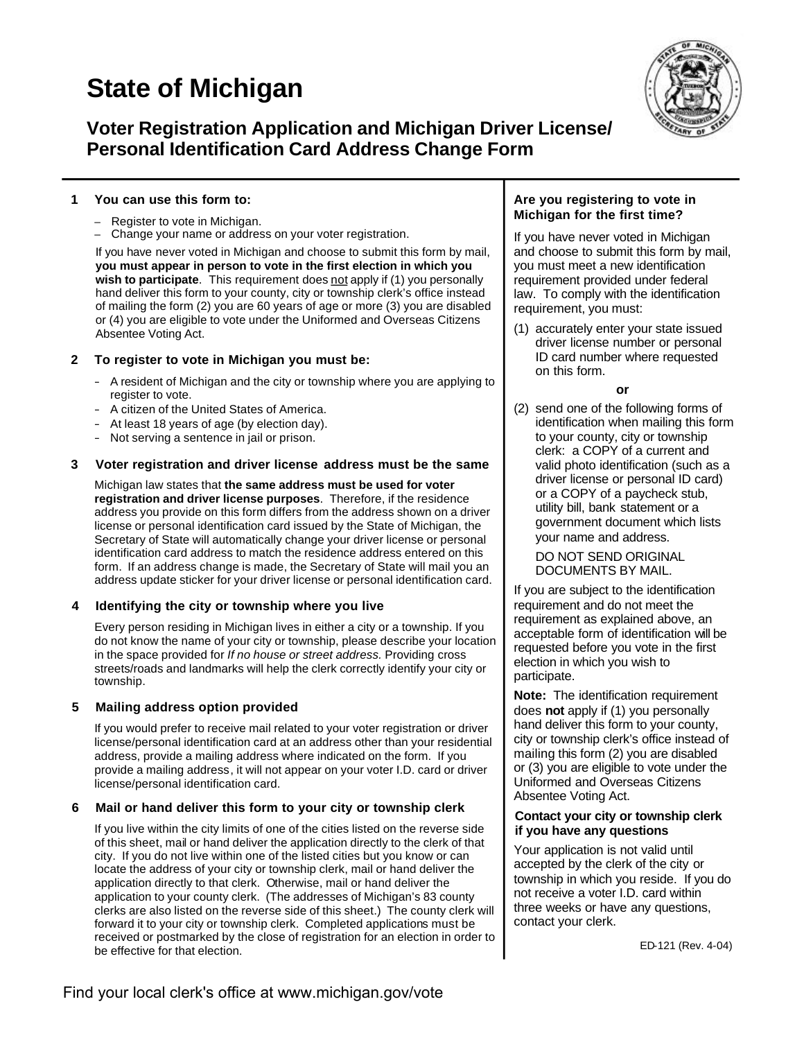# **State of Michigan**



### **Voter Registration Application and Michigan Driver License/ Personal Identification Card Address Change Form**

#### **1 You can use this form to:**

- Register to vote in Michigan.
- Change your name or address on your voter registration.

If you have never voted in Michigan and choose to submit this form by mail, **you must appear in person to vote in the first election in which you**  wish to participate. This requirement does not apply if (1) you personally hand deliver this form to your county, city or township clerk's office instead of mailing the form (2) you are 60 years of age or more (3) you are disabled or (4) you are eligible to vote under the Uniformed and Overseas Citizens Absentee Voting Act.

#### **2 To register to vote in Michigan you must be:**

- A resident of Michigan and the city or township where you are applying to register to vote.
- A citizen of the United States of America.
- At least 18 years of age (by election day).
- Not serving a sentence in jail or prison.

#### **3 Voter registration and driver license address must be the same**

Michigan law states that **the same address must be used for voter registration and driver license purposes**. Therefore, if the residence address you provide on this form differs from the address shown on a driver license or personal identification card issued by the State of Michigan, the Secretary of State will automatically change your driver license or personal identification card address to match the residence address entered on this form. If an address change is made, the Secretary of State will mail you an address update sticker for your driver license or personal identification card.

#### **4 Identifying the city or township where you live**

Every person residing in Michigan lives in either a city or a township. If you do not know the name of your city or township, please describe your location in the space provided for *If no house or street address.* Providing cross streets/roads and landmarks will help the clerk correctly identify your city or township.

#### **5 Mailing address option provided**

If you would prefer to receive mail related to your voter registration or driver license/personal identification card at an address other than your residential address, provide a mailing address where indicated on the form. If you provide a mailing address, it will not appear on your voter I.D. card or driver license/personal identification card.

#### **6 Mail or hand deliver this form to your city or township clerk**

If you live within the city limits of one of the cities listed on the reverse side of this sheet, mail or hand deliver the application directly to the clerk of that city. If you do not live within one of the listed cities but you know or can locate the address of your city or township clerk, mail or hand deliver the application directly to that clerk. Otherwise, mail or hand deliver the application to your county clerk. (The addresses of Michigan's 83 county clerks are also listed on the reverse side of this sheet.) The county clerk will forward it to your city or township clerk. Completed applications must be received or postmarked by the close of registration for an election in order to be effective for that election.

#### **Are you registering to vote in Michigan for the first time?**

If you have never voted in Michigan and choose to submit this form by mail, you must meet a new identification requirement provided under federal law. To comply with the identification requirement, you must:

(1) accurately enter your state issued driver license number or personal ID card number where requested on this form.

#### **or**

(2) send one of the following forms of identification when mailing this form to your county, city or township clerk: a COPY of a current and valid photo identification (such as a driver license or personal ID card) or a COPY of a paycheck stub, utility bill, bank statement or a government document which lists your name and address.

DO NOT SEND ORIGINAL DOCUMENTS BY MAIL.

If you are subject to the identification requirement and do not meet the requirement as explained above, an acceptable form of identification will be requested before you vote in the first election in which you wish to participate.

**Note:** The identification requirement does **not** apply if (1) you personally hand deliver this form to your county, city or township clerk's office instead of mailing this form (2) you are disabled or (3) you are eligible to vote under the Uniformed and Overseas Citizens Absentee Voting Act.

#### **Contact your city or township clerk if you have any questions**

Your application is not valid until accepted by the clerk of the city or township in which you reside. If you do not receive a voter I.D. card within three weeks or have any questions, contact your clerk.

ED-121 (Rev. 4-04)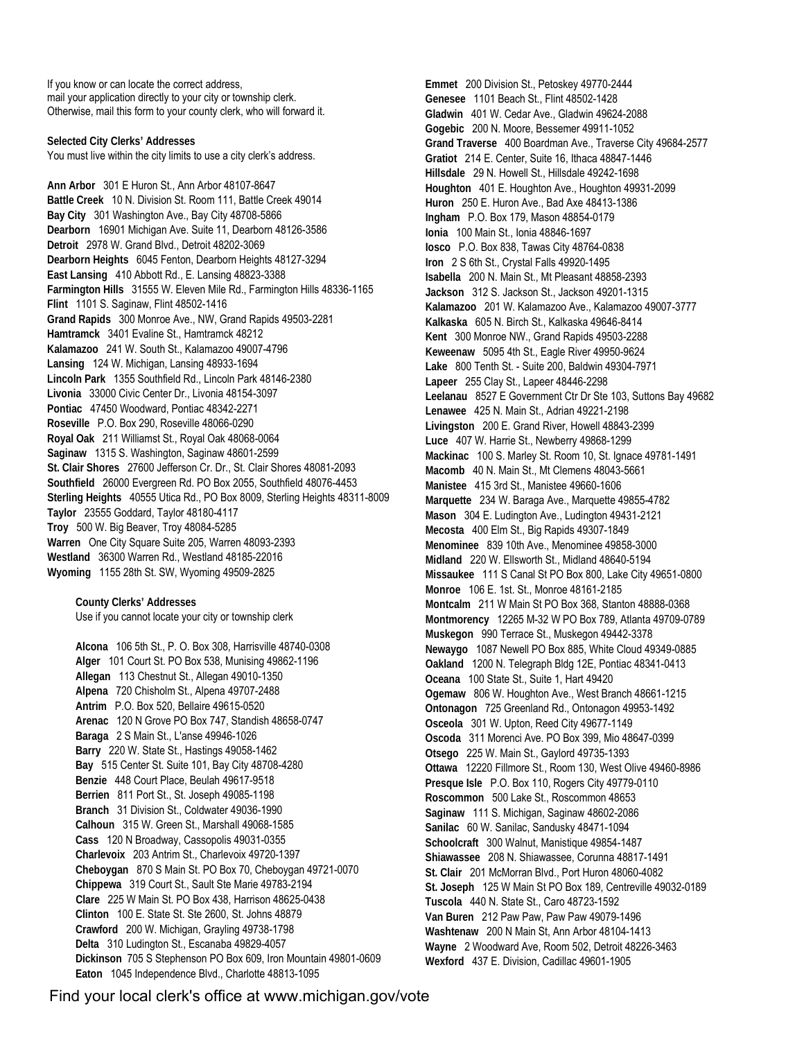If you know or can locate the correct address, mail your application directly to your city or township clerk. Otherwise, mail this form to your county clerk, who will forward it.

**Selected City Clerks' Addresses** You must live within the city limits to use a city clerk's address.

**Ann Arbor** 301 E Huron St., Ann Arbor 48107-8647 **Battle Creek** 10 N. Division St. Room 111, Battle Creek 49014 **Bay City** 301 Washington Ave., Bay City 48708-5866 **Dearborn** 16901 Michigan Ave. Suite 11, Dearborn 48126-3586 **Detroit** 2978 W. Grand Blvd., Detroit 48202-3069 **Dearborn Heights** 6045 Fenton, Dearborn Heights 48127-3294 **East Lansing** 410 Abbott Rd., E. Lansing 48823-3388 **Farmington Hills** 31555 W. Eleven Mile Rd., Farmington Hills 48336-1165 **Flint** 1101 S. Saginaw, Flint 48502-1416 **Grand Rapids** 300 Monroe Ave., NW, Grand Rapids 49503-2281 **Hamtramck** 3401 Evaline St., Hamtramck 48212 **Kalamazoo** 241 W. South St., Kalamazoo 49007-4796 **Lansing** 124 W. Michigan, Lansing 48933-1694 **Lincoln Park** 1355 Southfield Rd., Lincoln Park 48146-2380 **Livonia** 33000 Civic Center Dr., Livonia 48154-3097 **Pontiac** 47450 Woodward, Pontiac 48342-2271 **Roseville** P.O. Box 290, Roseville 48066-0290 **Royal Oak** 211 Williamst St., Royal Oak 48068-0064 **Saginaw** 1315 S. Washington, Saginaw 48601-2599 **St. Clair Shores** 27600 Jefferson Cr. Dr., St. Clair Shores 48081-2093 **Southfield** 26000 Evergreen Rd. PO Box 2055, Southfield 48076-4453 **Sterling Heights** 40555 Utica Rd., PO Box 8009, Sterling Heights 48311-8009 **Taylor** 23555 Goddard, Taylor 48180-4117 **Troy** 500 W. Big Beaver, Troy 48084-5285 **Warren** One City Square Suite 205, Warren 48093-2393 **Westland** 36300 Warren Rd., Westland 48185-22016 **Wyoming** 1155 28th St. SW, Wyoming 49509-2825

**County Clerks' Addresses**  Use if you cannot locate your city or township clerk

**Alcona** 106 5th St., P. O. Box 308, Harrisville 48740-0308 **Alger** 101 Court St. PO Box 538, Munising 49862-1196 **Allegan** 113 Chestnut St., Allegan 49010-1350 **Alpena** 720 Chisholm St., Alpena 49707-2488 **Antrim** P.O. Box 520, Bellaire 49615-0520 **Arenac** 120 N Grove PO Box 747, Standish 48658-0747 **Baraga** 2 S Main St., L'anse 49946-1026 **Barry** 220 W. State St., Hastings 49058-1462 **Bay** 515 Center St. Suite 101, Bay City 48708-4280 **Benzie** 448 Court Place, Beulah 49617-9518 **Berrien** 811 Port St., St. Joseph 49085-1198 **Branch** 31 Division St., Coldwater 49036-1990 **Calhoun** 315 W. Green St., Marshall 49068-1585 **Cass** 120 N Broadway, Cassopolis 49031-0355 **Charlevoix** 203 Antrim St., Charlevoix 49720-1397 **Cheboygan** 870 S Main St. PO Box 70, Cheboygan 49721-0070 **Chippewa** 319 Court St., Sault Ste Marie 49783-2194 **Clare** 225 W Main St. PO Box 438, Harrison 48625-0438 **Clinton** 100 E. State St. Ste 2600, St. Johns 48879 **Crawford** 200 W. Michigan, Grayling 49738-1798 **Delta** 310 Ludington St., Escanaba 49829-4057 **Dickinson** 705 S Stephenson PO Box 609, Iron Mountain 49801-0609 **Eaton** 1045 Independence Blvd., Charlotte 48813-1095

**Emmet** 200 Division St., Petoskey 49770-2444 **Genesee** 1101 Beach St., Flint 48502-1428 **Gladwin** 401 W. Cedar Ave., Gladwin 49624-2088 **Gogebic** 200 N. Moore, Bessemer 49911-1052 **Grand Traverse** 400 Boardman Ave., Traverse City 49684-2577 **Gratiot** 214 E. Center, Suite 16, Ithaca 48847-1446 **Hillsdale** 29 N. Howell St., Hillsdale 49242-1698 **Houghton** 401 E. Houghton Ave., Houghton 49931-2099 **Huron** 250 E. Huron Ave., Bad Axe 48413-1386 **Ingham** P.O. Box 179, Mason 48854-0179 **Ionia** 100 Main St., Ionia 48846-1697 **Iosco** P.O. Box 838, Tawas City 48764-0838 **Iron** 2 S 6th St., Crystal Falls 49920-1495 **Isabella** 200 N. Main St., Mt Pleasant 48858-2393 **Jackson** 312 S. Jackson St., Jackson 49201-1315 **Kalamazoo** 201 W. Kalamazoo Ave., Kalamazoo 49007-3777 **Kalkaska** 605 N. Birch St., Kalkaska 49646-8414 **Kent** 300 Monroe NW., Grand Rapids 49503-2288 **Keweenaw** 5095 4th St., Eagle River 49950-9624 **Lake** 800 Tenth St. - Suite 200, Baldwin 49304-7971 **Lapeer** 255 Clay St., Lapeer 48446-2298 **Leelanau** 8527 E Government Ctr Dr Ste 103, Suttons Bay 49682 **Lenawee** 425 N. Main St., Adrian 49221-2198 **Livingston** 200 E. Grand River, Howell 48843-2399 **Luce** 407 W. Harrie St., Newberry 49868-1299 **Mackinac** 100 S. Marley St. Room 10, St. Ignace 49781-1491 **Macomb** 40 N. Main St., Mt Clemens 48043-5661 **Manistee** 415 3rd St., Manistee 49660-1606 **Marquette** 234 W. Baraga Ave., Marquette 49855-4782 **Mason** 304 E. Ludington Ave., Ludington 49431-2121 **Mecosta** 400 Elm St., Big Rapids 49307-1849 **Menominee** 839 10th Ave., Menominee 49858-3000 **Midland** 220 W. Ellsworth St., Midland 48640-5194 **Missaukee** 111 S Canal St PO Box 800, Lake City 49651-0800 **Monroe** 106 E. 1st. St., Monroe 48161-2185 **Montcalm** 211 W Main St PO Box 368, Stanton 48888-0368 **Montmorency** 12265 M-32 W PO Box 789, Atlanta 49709-0789 **Muskegon** 990 Terrace St., Muskegon 49442-3378 **Newaygo** 1087 Newell PO Box 885, White Cloud 49349-0885 **Oakland** 1200 N. Telegraph Bldg 12E, Pontiac 48341-0413 **Oceana** 100 State St., Suite 1, Hart 49420 **Ogemaw** 806 W. Houghton Ave., West Branch 48661-1215 **Ontonagon** 725 Greenland Rd., Ontonagon 49953-1492 **Osceola** 301 W. Upton, Reed City 49677-1149 **Oscoda** 311 Morenci Ave. PO Box 399, Mio 48647-0399 **Otsego** 225 W. Main St., Gaylord 49735-1393 **Ottawa** 12220 Fillmore St., Room 130, West Olive 49460-8986 **Presque Isle** P.O. Box 110, Rogers City 49779-0110 **Roscommon** 500 Lake St., Roscommon 48653 **Saginaw** 111 S. Michigan, Saginaw 48602-2086 **Sanilac** 60 W. Sanilac, Sandusky 48471-1094 **Schoolcraft** 300 Walnut, Manistique 49854-1487 **Shiawassee** 208 N. Shiawassee, Corunna 48817-1491 **St. Clair** 201 McMorran Blvd., Port Huron 48060-4082 **St. Joseph** 125 W Main St PO Box 189, Centreville 49032-0189 **Tuscola** 440 N. State St., Caro 48723-1592 **Van Buren** 212 Paw Paw, Paw Paw 49079-1496 **Washtenaw** 200 N Main St, Ann Arbor 48104-1413 **Wayne** 2 Woodward Ave, Room 502, Detroit 48226-3463 **Wexford** 437 E. Division, Cadillac 49601-1905

Find your local clerk's office at [www.michigan.gov/vote](http://www.michigan.gov/vote)